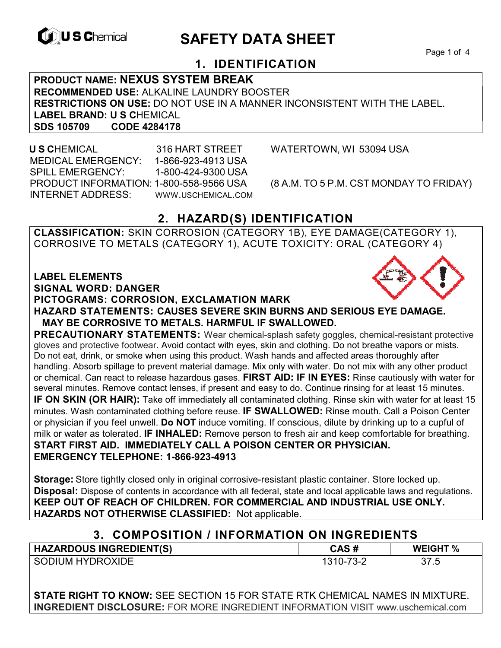

# **EXAGREM** SAFETY DATA SHEET

Page 1 of 4

## **1. IDENTIFICATION**

**PRODUCT NAME: NEXUS SYSTEM BREAK RECOMMENDED USE:** ALKALINE LAUNDRY BOOSTER **RESTRICTIONS ON USE:** DO NOT USE IN A MANNER INCONSISTENT WITH THE LABEL. **LABEL BRAND: U S C**HEMICAL **SDS 105709 CODE 4284178** 

 **U S C**HEMICAL 316 HART STREET WATERTOWN, WI 53094 USA MEDICAL EMERGENCY: 1-866-923-4913 USA SPILL EMERGENCY: 1-800-424-9300 USA PRODUCT INFORMATION: 1-800-558-9566 USA (8 A.M. TO 5 P.M. CST MONDAY TO FRIDAY) INTERNET ADDRESS: WWW.USCHEMICAL.COM

## **2. HAZARD(S) IDENTIFICATION**

**CLASSIFICATION:** SKIN CORROSION (CATEGORY 1B), EYE DAMAGE(CATEGORY 1), CORROSIVE TO METALS (CATEGORY 1), ACUTE TOXICITY: ORAL (CATEGORY 4)

**LABEL ELEMENTS** 

**SIGNAL WORD: DANGER**

**PICTOGRAMS: CORROSION, EXCLAMATION MARK**



**PRECAUTIONARY STATEMENTS:** Wear chemical-splash safety goggles, chemical-resistant protective gloves and protective footwear. Avoid contact with eyes, skin and clothing. Do not breathe vapors or mists. Do not eat, drink, or smoke when using this product. Wash hands and affected areas thoroughly after handling. Absorb spillage to prevent material damage. Mix only with water. Do not mix with any other product or chemical. Can react to release hazardous gases. **FIRST AID: IF IN EYES:** Rinse cautiously with water for several minutes. Remove contact lenses, if present and easy to do. Continue rinsing for at least 15 minutes. **IF ON SKIN (OR HAIR):** Take off immediately all contaminated clothing. Rinse skin with water for at least 15 minutes. Wash contaminated clothing before reuse. **IF SWALLOWED:** Rinse mouth. Call a Poison Center or physician if you feel unwell. **Do NOT** induce vomiting. If conscious, dilute by drinking up to a cupful of milk or water as tolerated. **IF INHALED:** Remove person to fresh air and keep comfortable for breathing. **START FIRST AID. IMMEDIATELY CALL A POISON CENTER OR PHYSICIAN. EMERGENCY TELEPHONE: 1-866-923-4913**

**Storage:** Store tightly closed only in original corrosive-resistant plastic container. Store locked up. **Disposal:** Dispose of contents in accordance with all federal, state and local applicable laws and regulations. **KEEP OUT OF REACH OF CHILDREN. FOR COMMERCIAL AND INDUSTRIAL USE ONLY. HAZARDS NOT OTHERWISE CLASSIFIED:** Not applicable.

## **3. COMPOSITION / INFORMATION ON INGREDIENTS**

| <b>HAZARDOUS INGREDIENT(S)</b> | CAS #     | <b>WEIGHT %</b> |
|--------------------------------|-----------|-----------------|
| SODIUM HYDROXIDE               | 1310-73-2 | 37.5            |

**STATE RIGHT TO KNOW:** SEE SECTION 15 FOR STATE RTK CHEMICAL NAMES IN MIXTURE. **INGREDIENT DISCLOSURE:** FOR MORE INGREDIENT INFORMATION VISIT www.uschemical.com

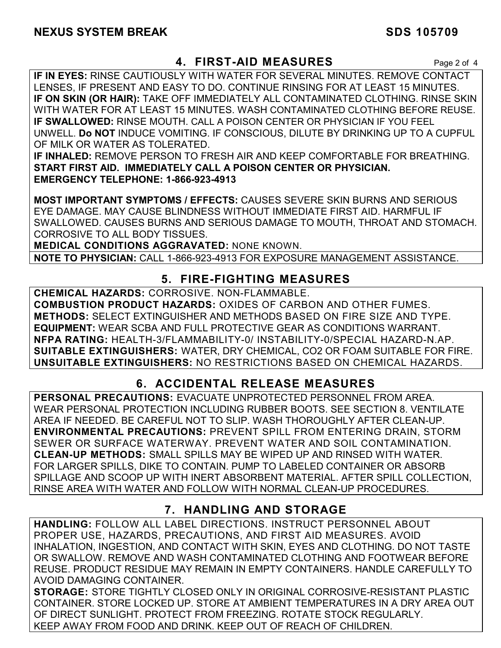## **4. FIRST-AID MEASURES** Page 2 of 4

**IF IN EYES:** RINSE CAUTIOUSLY WITH WATER FOR SEVERAL MINUTES. REMOVE CONTACT LENSES, IF PRESENT AND EASY TO DO. CONTINUE RINSING FOR AT LEAST 15 MINUTES. **IF ON SKIN (OR HAIR):** TAKE OFF IMMEDIATELY ALL CONTAMINATED CLOTHING. RINSE SKIN WITH WATER FOR AT LEAST 15 MINUTES. WASH CONTAMINATED CLOTHING BEFORE REUSE. **IF SWALLOWED:** RINSE MOUTH. CALL A POISON CENTER OR PHYSICIAN IF YOU FEEL UNWELL. **Do NOT** INDUCE VOMITING. IF CONSCIOUS, DILUTE BY DRINKING UP TO A CUPFUL OF MILK OR WATER AS TOLERATED.

**IF INHALED:** REMOVE PERSON TO FRESH AIR AND KEEP COMFORTABLE FOR BREATHING. **START FIRST AID. IMMEDIATELY CALL A POISON CENTER OR PHYSICIAN. EMERGENCY TELEPHONE: 1-866-923-4913**

**MOST IMPORTANT SYMPTOMS / EFFECTS:** CAUSES SEVERE SKIN BURNS AND SERIOUS EYE DAMAGE. MAY CAUSE BLINDNESS WITHOUT IMMEDIATE FIRST AID. HARMFUL IF SWALLOWED. CAUSES BURNS AND SERIOUS DAMAGE TO MOUTH, THROAT AND STOMACH. CORROSIVE TO ALL BODY TISSUES.

**MEDICAL CONDITIONS AGGRAVATED:** NONE KNOWN.

**NOTE TO PHYSICIAN:** CALL 1-866-923-4913 FOR EXPOSURE MANAGEMENT ASSISTANCE.

## **5. FIRE-FIGHTING MEASURES**

**CHEMICAL HAZARDS:** CORROSIVE. NON-FLAMMABLE. **COMBUSTION PRODUCT HAZARDS:** OXIDES OF CARBON AND OTHER FUMES. **METHODS:** SELECT EXTINGUISHER AND METHODS BASED ON FIRE SIZE AND TYPE. **EQUIPMENT:** WEAR SCBA AND FULL PROTECTIVE GEAR AS CONDITIONS WARRANT. **NFPA RATING:** HEALTH-3/FLAMMABILITY-0/ INSTABILITY-0/SPECIAL HAZARD-N.AP. **SUITABLE EXTINGUISHERS:** WATER, DRY CHEMICAL, CO2 OR FOAM SUITABLE FOR FIRE. **UNSUITABLE EXTINGUISHERS:** NO RESTRICTIONS BASED ON CHEMICAL HAZARDS.

## **6. ACCIDENTAL RELEASE MEASURES**

**PERSONAL PRECAUTIONS:** EVACUATE UNPROTECTED PERSONNEL FROM AREA. WEAR PERSONAL PROTECTION INCLUDING RUBBER BOOTS. SEE SECTION 8. VENTILATE AREA IF NEEDED. BE CAREFUL NOT TO SLIP. WASH THOROUGHLY AFTER CLEAN-UP. **ENVIRONMENTAL PRECAUTIONS:** PREVENT SPILL FROM ENTERING DRAIN, STORM SEWER OR SURFACE WATERWAY. PREVENT WATER AND SOIL CONTAMINATION. **CLEAN-UP METHODS:** SMALL SPILLS MAY BE WIPED UP AND RINSED WITH WATER. FOR LARGER SPILLS, DIKE TO CONTAIN. PUMP TO LABELED CONTAINER OR ABSORB SPILLAGE AND SCOOP UP WITH INERT ABSORBENT MATERIAL. AFTER SPILL COLLECTION, RINSE AREA WITH WATER AND FOLLOW WITH NORMAL CLEAN-UP PROCEDURES.

## **7. HANDLING AND STORAGE**

**HANDLING:** FOLLOW ALL LABEL DIRECTIONS. INSTRUCT PERSONNEL ABOUT PROPER USE, HAZARDS, PRECAUTIONS, AND FIRST AID MEASURES. AVOID INHALATION, INGESTION, AND CONTACT WITH SKIN, EYES AND CLOTHING. DO NOT TASTE OR SWALLOW. REMOVE AND WASH CONTAMINATED CLOTHING AND FOOTWEAR BEFORE REUSE. PRODUCT RESIDUE MAY REMAIN IN EMPTY CONTAINERS. HANDLE CAREFULLY TO AVOID DAMAGING CONTAINER.

**STORAGE:** STORE TIGHTLY CLOSED ONLY IN ORIGINAL CORROSIVE-RESISTANT PLASTIC CONTAINER. STORE LOCKED UP. STORE AT AMBIENT TEMPERATURES IN A DRY AREA OUT OF DIRECT SUNLIGHT. PROTECT FROM FREEZING. ROTATE STOCK REGULARLY. KEEP AWAY FROM FOOD AND DRINK. KEEP OUT OF REACH OF CHILDREN.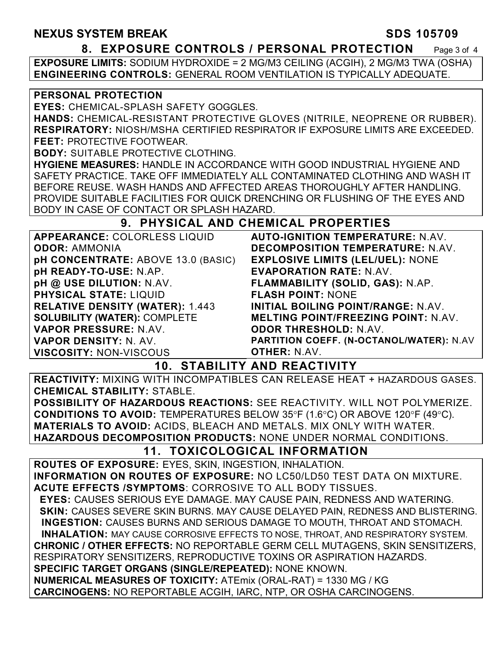#### **NEXUS SYSTEM BREAK SDS 105709**

#### **8. EXPOSURE CONTROLS / PERSONAL PROTECTION** Page 3 of 4

**EXPOSURE LIMITS:** SODIUM HYDROXIDE = 2 MG/M3 CEILING (ACGIH), 2 MG/M3 TWA (OSHA) **ENGINEERING CONTROLS:** GENERAL ROOM VENTILATION IS TYPICALLY ADEQUATE.

#### **PERSONAL PROTECTION**

**EYES:** CHEMICAL-SPLASH SAFETY GOGGLES.

**HANDS:** CHEMICAL-RESISTANT PROTECTIVE GLOVES (NITRILE, NEOPRENE OR RUBBER). **RESPIRATORY:** NIOSH/MSHA CERTIFIED RESPIRATOR IF EXPOSURE LIMITS ARE EXCEEDED. **FEET:** PROTECTIVE FOOTWEAR.

**BODY:** SUITABLE PROTECTIVE CLOTHING.

**HYGIENE MEASURES:** HANDLE IN ACCORDANCE WITH GOOD INDUSTRIAL HYGIENE AND SAFETY PRACTICE. TAKE OFF IMMEDIATELY ALL CONTAMINATED CLOTHING AND WASH IT BEFORE REUSE. WASH HANDS AND AFFECTED AREAS THOROUGHLY AFTER HANDLING. PROVIDE SUITABLE FACILITIES FOR QUICK DRENCHING OR FLUSHING OF THE EYES AND BODY IN CASE OF CONTACT OR SPLASH HAZARD.

### **9. PHYSICAL AND CHEMICAL PROPERTIES**

| APPEARANCE: COLORLESS LIQUID           | <b>AUTO-IGNITION TEMPERATURE: N.AV.</b>    |
|----------------------------------------|--------------------------------------------|
| <b>ODOR: AMMONIA</b>                   | <b>DECOMPOSITION TEMPERATURE: N.AV.</b>    |
| pH CONCENTRATE: ABOVE 13.0 (BASIC)     | <b>EXPLOSIVE LIMITS (LEL/UEL): NONE</b>    |
| pH READY-TO-USE: N.AP.                 | <b>EVAPORATION RATE: N.AV.</b>             |
| pH @ USE DILUTION: N.AV.               | FLAMMABILITY (SOLID, GAS): N.AP.           |
| <b>PHYSICAL STATE: LIQUID</b>          | <b>FLASH POINT: NONE</b>                   |
| <b>RELATIVE DENSITY (WATER): 1.443</b> | <b>INITIAL BOILING POINT/RANGE: N.AV.</b>  |
| <b>SOLUBILITY (WATER): COMPLETE</b>    | <b>MELTING POINT/FREEZING POINT: N.AV.</b> |
| VAPOR PRESSURE: N.AV.                  | <b>ODOR THRESHOLD: N.AV.</b>               |
| <b>VAPOR DENSITY: N. AV.</b>           | PARTITION COEFF. (N-OCTANOL/WATER): N.AV   |
| <b>VISCOSITY: NON-VISCOUS</b>          | <b>OTHER: N.AV.</b>                        |

#### **10. STABILITY AND REACTIVITY**

**REACTIVITY:** MIXING WITH INCOMPATIBLES CAN RELEASE HEAT + HAZARDOUS GASES. **CHEMICAL STABILITY:** STABLE.

**POSSIBILITY OF HAZARDOUS REACTIONS:** SEE REACTIVITY. WILL NOT POLYMERIZE. **CONDITIONS TO AVOID:** TEMPERATURES BELOW 35°F (1.6°C) OR ABOVE 120°F (49°C). **MATERIALS TO AVOID:** ACIDS, BLEACH AND METALS. MIX ONLY WITH WATER. **HAZARDOUS DECOMPOSITION PRODUCTS:** NONE UNDER NORMAL CONDITIONS.

## **11. TOXICOLOGICAL INFORMATION**

**ROUTES OF EXPOSURE:** EYES, SKIN, INGESTION, INHALATION. **INFORMATION ON ROUTES OF EXPOSURE:** NO LC50/LD50 TEST DATA ON MIXTURE. **ACUTE EFFECTS /SYMPTOMS**: CORROSIVE TO ALL BODY TISSUES.  **EYES:** CAUSES SERIOUS EYE DAMAGE. MAY CAUSE PAIN, REDNESS AND WATERING.  **SKIN:** CAUSES SEVERE SKIN BURNS. MAY CAUSE DELAYED PAIN, REDNESS AND BLISTERING. **INGESTION:** CAUSES BURNS AND SERIOUS DAMAGE TO MOUTH, THROAT AND STOMACH. **INHALATION:** MAY CAUSE CORROSIVE EFFECTS TO NOSE, THROAT, AND RESPIRATORY SYSTEM. **CHRONIC / OTHER EFFECTS:** NO REPORTABLE GERM CELL MUTAGENS, SKIN SENSITIZERS, RESPIRATORY SENSITIZERS, REPRODUCTIVE TOXINS OR ASPIRATION HAZARDS. **SPECIFIC TARGET ORGANS (SINGLE/REPEATED):** NONE KNOWN. **NUMERICAL MEASURES OF TOXICITY:** ATEmix (ORAL-RAT) = 1330 MG / KG **CARCINOGENS:** NO REPORTABLE ACGIH, IARC, NTP, OR OSHA CARCINOGENS.